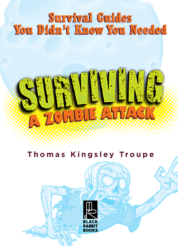## **Survival Guides You Didn't Know You Needed**

# SURVIVING A ZOMBIE ATTACK

## **Thomas Kingsley Troupe**

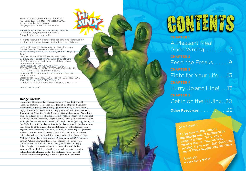P.O. Box 3263, Mankato, Minnesota, 56002. www.blackrabbitbooks.com Copyright © 2018 Black Rabbit Books

Marysa Storm, editor; Michael Sellner, designer; Catherine Cates, production designer; Omay Ayres, photo researcher

All rights reserved. No part of this book may be reproduced in any form without written permission from the publisher.

Library of Congress Cataloging-in-Publication Data Names: Troupe, Thomas Kingsley, author. Title: Surviving a zombie attack / by Thomas Kingsley Troupe. Description: Mankato, Minnesota : Black Rabbit Books, [2018] | Series: Hi jinx. Survival guides you didn't know you needed | Includes bibliographical references and index. Identifiers: LCCN 2017007270 (print) | LCCN 2017024863 (ebook) | ISBN 9781680723748 (e-book) | ISBN 9781680723441 (library binding) Subjects: LCSH: Zombies–Juvenile humor. | Survival– Juvenile humor. Classification: LCC PN6231.Z65 (ebook) | LCC PN6231.Z65 T76 2018 (print) | DDC 818/.602–dc23 LC record available at https://lccn.loc.gov/2017007270

Printed in China. 9/17

### Image Credits

Dreamstime: Blueringmedia, Cover (r zombie), 4 (r zombie); Donald Purcell, 23 (bottom); Memoangeles, 15 (r zombie); Skypixel, 2–3; iStock: hanaschwarz, 21 (boy); kbeis, Cover (large zombie, bkgd), 4 (large zombie, bkgd); Shutterstock: alexmstudio, 15 (bkgd); Anton Brand, Cover (zombie l), 4 (zombie l), 8 (zombie); Arcady, 3 (note), 13 (note); benchart, 6–7 (window); blambca, 11 (gum on face); BlueRingMedia, 6–7 (bkgd), 8 (girl), 18 (waterslide), 19 (tube); Christos Georghiou, 16 (grave, hand); Darride, 10; Evdokimov Maxim, 21 (bkgd); frescomovie, Back Cover (bkgd); GraphicsRF, 16 (girl, boy); iKandy, 14; Ilya Chalyuk, 5, 9, 13 (marker strokes), 17 (marker strokes), 20 (marker strokes); Isaac Zakar, 11 (sticks of gum); Lemonade Serenade, 16 (bkgd graves); Memo Angeles, Cover (opossum), 1 (zombie), 3 (bkgd), 4 (opossum), 6–7 (zombie), 11 (boy), 12 (boy, zombie), 19 (boy); Mushakesa, 1 (moon), 17 (moon); opicobello, 8 (bttm); Pasko Maksim, background (top); 15 (top), 23 (top), 24; Pitju, 21 (curled paper); rivansyam, 12 (zombie); rudall30, 8 (zombie); Sarawut Padungkwan, Cover (rat, roach), 4 (roach), 11 (zombies), 15 (zombie l, top, bottom), 16 (rat), 20 (hand); Sunflowerr, 11 (bkgd); Tidarat Tiemjai, 16 (moon); VectorShots, 18 (zombie head, body); Yayayoyo, 11 (bubble) Every effort has been made to contact copyright holders for material reproduced in this book. Any omissions will be rectified in subsequent printings if notice is given to the publisher.

A Pleasant Meal Gone Wrong. . . . . . . . . 5 Feed the Freaks. . . . . . 9 Fight for Your Life. . . .13 Hurry Up and Hide!. . . .17 Get in on the Hi Jinx. .20 **OCHE COONS ASSESSED A PLAN TO A PLAN TO A PLAN TO A PLAN TO A PLAN TO A PLAN TO A PLAN TO A PLAN TO A PLAN TO A PLAN TO A PLAN TO A PLAN TO A PLAN TO A PLAN TO A PLAN TO A PLAN TO A PLAN TO A PLAN TO A PLAN TO A PLAN TO A** 

Dear Reader,<br>
To be honest, the author's<br>
manuscript wasn't supposed to<br>
manuscript wasn't supposed to<br>
become a book. There was a<br>
horrible mix up. You can keep<br>
horrible mix up. You want. Just don't take<br>
reading, if you

Sincerely,<br>a very sorry editor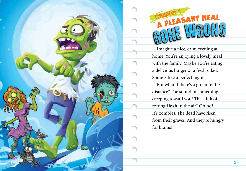

Imagine a nice, calm evening at home. You're enjoying a lovely meal with the family. Maybe you're eating a delicious burger or a fresh salad. Sounds like a perfect night. But what if there's a groan in the distance? The sound of something creeping toward you? The stink of rotting flesh in the air? Oh no! It's zombies. The dead have risen from their graves. And they're hungry For a magine a ni home. You're exith the family<br>Sounds like a p<br>But what if the screeping toward rotting **flesh** in this zombies. The screeping toward rotting **flesh** in the screeping toward rotting flesh in their gravitor

**4**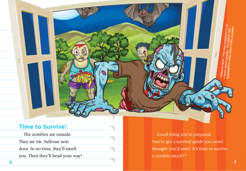## **Time to Survive!**

The zombies are outside. They ate Mr. Sullivan next door. In no time, they'll smell you. Then they'll head your way!

Good thing you're prepared. You've got a survival guide you never thought you'd need. It's time to survive a zombie attack!\*

\*Editor's Note: This was supposed to be a book about poodles. The author was<br>supposed to write about a author was supposed to write about fluffy poodles!<br>he author was a write about fluffy poodles!